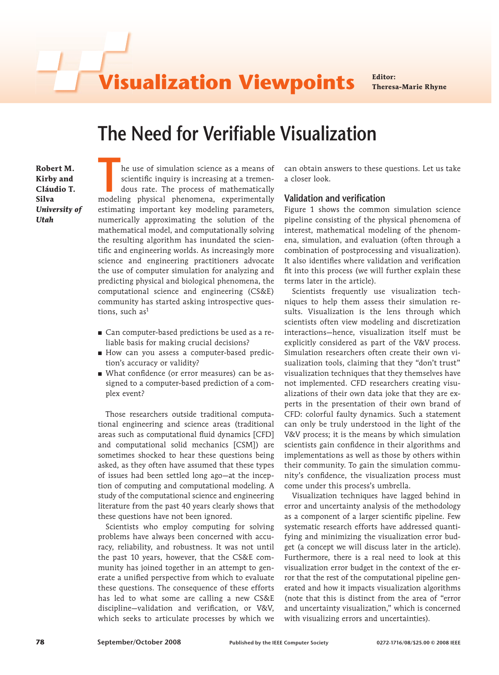**Theresa-Marie Rhyne**

# **Visualization Viewpoints Editor:**

## **The Need for Verifiable Visualization**

**Robert M. Kirby and Cláudio T. Silva** *University of Utah*

The use of simulation science as a means of<br>scientific inquiry is increasing at a tremen-<br>dous rate. The process of mathematically<br>modeling, physical, phenomena, experimentally scientific inquiry is increasing at a tremendous rate. The process of mathematically modeling physical phenomena, experimentally estimating important key modeling parameters, numerically approximating the solution of the mathematical model, and computationally solving the resulting algorithm has inundated the scientific and engineering worlds. As increasingly more science and engineering practitioners advocate the use of computer simulation for analyzing and predicting physical and biological phenomena, the computational science and engineering (CS&E) community has started asking introspective questions, such  $as<sup>1</sup>$ 

- Can computer-based predictions be used as a reliable basis for making crucial decisions?
- How can you assess a computer-based prediction's accuracy or validity?
- What confidence (or error measures) can be assigned to a computer-based prediction of a complex event?

Those researchers outside traditional computational engineering and science areas (traditional areas such as computational fluid dynamics [CFD] and computational solid mechanics [CSM]) are sometimes shocked to hear these questions being asked, as they often have assumed that these types of issues had been settled long ago—at the inception of computing and computational modeling. A study of the computational science and engineering literature from the past 40 years clearly shows that these questions have not been ignored.

Scientists who employ computing for solving problems have always been concerned with accuracy, reliability, and robustness. It was not until the past 10 years, however, that the CS&E community has joined together in an attempt to generate a unified perspective from which to evaluate these questions. The consequence of these efforts has led to what some are calling a new CS&E discipline-validation and verification, or V&V, which seeks to articulate processes by which we can obtain answers to these questions. Let us take a closer look.

### **Validation and verification**

Figure 1 shows the common simulation science pipeline consisting of the physical phenomena of interest, mathematical modeling of the phenomena, simulation, and evaluation (often through a combination of postprocessing and visualization). It also identifies where validation and verification fit into this process (we will further explain these terms later in the article).

Scientists frequently use visualization techniques to help them assess their simulation results. Visualization is the lens through which scientists often view modeling and discretization interactions—hence, visualization itself must be explicitly considered as part of the V&V process. Simulation researchers often create their own visualization tools, claiming that they "don't trust" visualization techniques that they themselves have not implemented. CFD researchers creating visualizations of their own data joke that they are experts in the presentation of their own brand of CFD: colorful faulty dynamics. Such a statement can only be truly understood in the light of the V&V process; it is the means by which simulation scientists gain confidence in their algorithms and implementations as well as those by others within their community. To gain the simulation community's confidence, the visualization process must come under this process's umbrella.

Visualization techniques have lagged behind in error and uncertainty analysis of the methodology as a component of a larger scientific pipeline. Few systematic research efforts have addressed quantifying and minimizing the visualization error budget (a concept we will discuss later in the article). Furthermore, there is a real need to look at this visualization error budget in the context of the error that the rest of the computational pipeline generated and how it impacts visualization algorithms (note that this is distinct from the area of "error and uncertainty visualization," which is concerned with visualizing errors and uncertainties).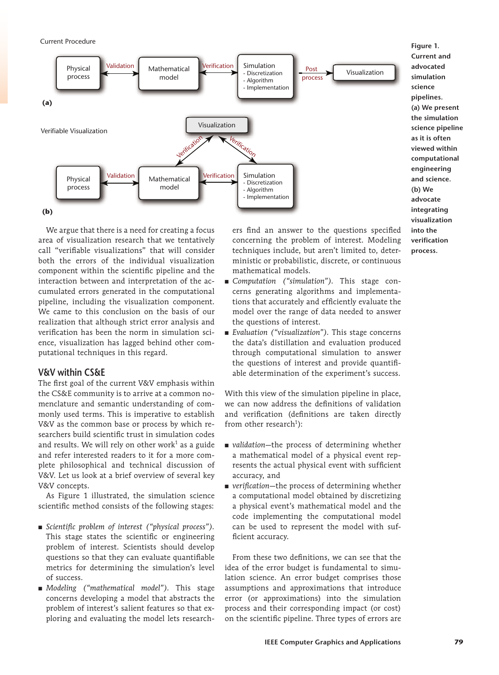Current Procedure



**Figure 1. Current and advocated simulation science pipelines. (a) We present the simulation science pipeline as it is often viewed within computational engineering and science. (b) We advocate integrating visualization into the verification process.**

We argue that there is a need for creating a focus area of visualization research that we tentatively call "verifiable visualizations" that will consider both the errors of the individual visualization component within the scientific pipeline and the interaction between and interpretation of the accumulated errors generated in the computational pipeline, including the visualization component. We came to this conclusion on the basis of our realization that although strict error analysis and verification has been the norm in simulation science, visualization has lagged behind other computational techniques in this regard.

#### **V&V within CS&E**

The first goal of the current V&V emphasis within the CS&E community is to arrive at a common nomenclature and semantic understanding of commonly used terms. This is imperative to establish V&V as the common base or process by which researchers build scientific trust in simulation codes and results. We will rely on other work $^1$  as a guide and refer interested readers to it for a more complete philosophical and technical discussion of V&V. Let us look at a brief overview of several key V&V concepts.

As Figure 1 illustrated, the simulation science scientific method consists of the following stages:

- *Scientific problem of interest ("physical process").* This stage states the scientific or engineering problem of interest. Scientists should develop questions so that they can evaluate quantifiable metrics for determining the simulation's level of success.
- *Modeling ("mathematical model").* This stage concerns developing a model that abstracts the problem of interest's salient features so that exploring and evaluating the model lets research-

ers find an answer to the questions specified concerning the problem of interest. Modeling techniques include, but aren't limited to, deterministic or probabilistic, discrete, or continuous mathematical models.

- Computation ("simulation"). This stage concerns generating algorithms and implementations that accurately and efficiently evaluate the model over the range of data needed to answer the questions of interest.
- Evaluation ("visualization"). This stage concerns the data's distillation and evaluation produced through computational simulation to answer the questions of interest and provide quantifiable determination of the experiment's success.

With this view of the simulation pipeline in place, we can now address the definitions of validation and verification (definitions are taken directly from other research<sup>1</sup>):

- *validation*—the process of determining whether a mathematical model of a physical event represents the actual physical event with sufficient accuracy, and
- *verification*—the process of determining whether a computational model obtained by discretizing a physical event's mathematical model and the code implementing the computational model can be used to represent the model with sufficient accuracy.

From these two definitions, we can see that the idea of the error budget is fundamental to simulation science. An error budget comprises those assumptions and approximations that introduce error (or approximations) into the simulation process and their corresponding impact (or cost) on the scientific pipeline. Three types of errors are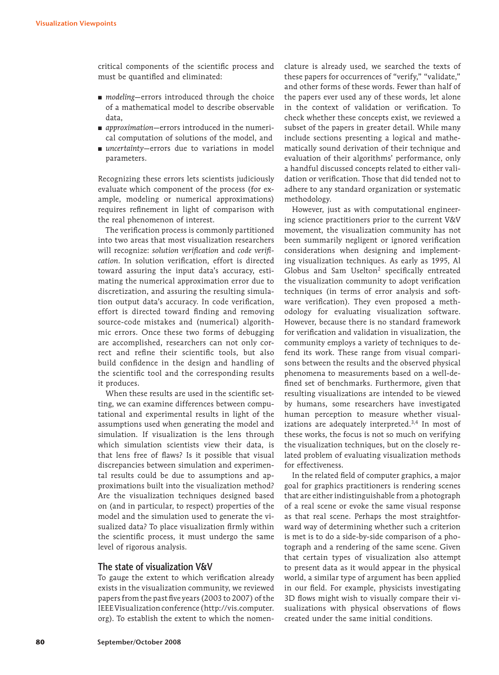critical components of the scientific process and must be quantified and eliminated:

- *modeling*—errors introduced through the choice of a mathematical model to describe observable data,
- *approximation*—errors introduced in the numerical computation of solutions of the model, and
- *uncertainty*—errors due to variations in model parameters.

Recognizing these errors lets scientists judiciously evaluate which component of the process (for example, modeling or numerical approximations) requires refinement in light of comparison with the real phenomenon of interest.

The verification process is commonly partitioned into two areas that most visualization researchers will recognize: *solution verification* and *code verification*. In solution verification, effort is directed toward assuring the input data's accuracy, estimating the numerical approximation error due to discretization, and assuring the resulting simulation output data's accuracy. In code verification, effort is directed toward finding and removing source-code mistakes and (numerical) algorithmic errors. Once these two forms of debugging are accomplished, researchers can not only correct and refine their scientific tools, but also build confidence in the design and handling of the scientific tool and the corresponding results it produces.

When these results are used in the scientific setting, we can examine differences between computational and experimental results in light of the assumptions used when generating the model and simulation. If visualization is the lens through which simulation scientists view their data, is that lens free of flaws? Is it possible that visual discrepancies between simulation and experimental results could be due to assumptions and approximations built into the visualization method? Are the visualization techniques designed based on (and in particular, to respect) properties of the model and the simulation used to generate the visualized data? To place visualization firmly within the scientific process, it must undergo the same level of rigorous analysis.

#### **The state of visualization V&V**

To gauge the extent to which verification already exists in the visualization community, we reviewed papers from the past five years (2003 to 2007) of the IEEE Visualization conference (http://vis.computer. org). To establish the extent to which the nomenclature is already used, we searched the texts of these papers for occurrences of "verify," "validate," and other forms of these words. Fewer than half of the papers ever used any of these words, let alone in the context of validation or verification. To check whether these concepts exist, we reviewed a subset of the papers in greater detail. While many include sections presenting a logical and mathematically sound derivation of their technique and evaluation of their algorithms' performance, only a handful discussed concepts related to either validation or verification. Those that did tended not to adhere to any standard organization or systematic methodology.

However, just as with computational engineering science practitioners prior to the current V&V movement, the visualization community has not been summarily negligent or ignored verification considerations when designing and implementing visualization techniques. As early as 1995, Al Globus and Sam Uselton<sup>2</sup> specifically entreated the visualization community to adopt verification techniques (in terms of error analysis and software verification). They even proposed a methodology for evaluating visualization software. However, because there is no standard framework for verification and validation in visualization, the community employs a variety of techniques to defend its work. These range from visual comparisons between the results and the observed physical phenomena to measurements based on a well-defined set of benchmarks. Furthermore, given that resulting visualizations are intended to be viewed by humans, some researchers have investigated human perception to measure whether visualizations are adequately interpreted. $3,4$  In most of these works, the focus is not so much on verifying the visualization techniques, but on the closely related problem of evaluating visualization methods for effectiveness.

In the related field of computer graphics, a major goal for graphics practitioners is rendering scenes that are either indistinguishable from a photograph of a real scene or evoke the same visual response as that real scene. Perhaps the most straightforward way of determining whether such a criterion is met is to do a side-by-side comparison of a photograph and a rendering of the same scene. Given that certain types of visualization also attempt to present data as it would appear in the physical world, a similar type of argument has been applied in our field. For example, physicists investigating 3D flows might wish to visually compare their visualizations with physical observations of flows created under the same initial conditions.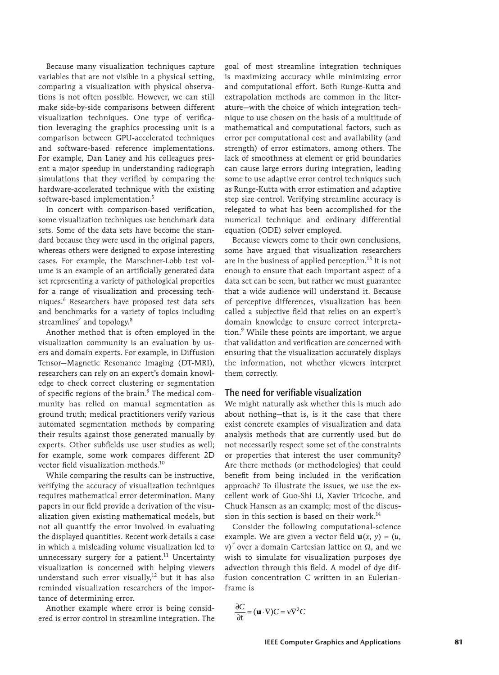Because many visualization techniques capture variables that are not visible in a physical setting, comparing a visualization with physical observations is not often possible. However, we can still make side-by-side comparisons between different visualization techniques. One type of verification leveraging the graphics processing unit is a comparison between GPU-accelerated techniques and software-based reference implementations. For example, Dan Laney and his colleagues present a major speedup in understanding radiograph simulations that they verified by comparing the hardware-accelerated technique with the existing software-based implementation.<sup>5</sup>

In concert with comparison-based verification, some visualization techniques use benchmark data sets. Some of the data sets have become the standard because they were used in the original papers, whereas others were designed to expose interesting cases. For example, the Marschner-Lobb test volume is an example of an artificially generated data set representing a variety of pathological properties for a range of visualization and processing techniques.6 Researchers have proposed test data sets and benchmarks for a variety of topics including streamlines<sup>7</sup> and topology.<sup>8</sup>

Another method that is often employed in the visualization community is an evaluation by users and domain experts. For example, in Diffusion Tensor—Magnetic Resonance Imaging (DT-MRI), researchers can rely on an expert's domain knowledge to check correct clustering or segmentation of specific regions of the brain.<sup>9</sup> The medical community has relied on manual segmentation as ground truth; medical practitioners verify various automated segmentation methods by comparing their results against those generated manually by experts. Other subfields use user studies as well; for example, some work compares different 2D vector field visualization methods.10

While comparing the results can be instructive, verifying the accuracy of visualization techniques requires mathematical error determination. Many papers in our field provide a derivation of the visualization given existing mathematical models, but not all quantify the error involved in evaluating the displayed quantities. Recent work details a case in which a misleading volume visualization led to unnecessary surgery for a patient.<sup>11</sup> Uncertainty visualization is concerned with helping viewers understand such error visually,<sup>12</sup> but it has also reminded visualization researchers of the importance of determining error.

Another example where error is being considered is error control in streamline integration. The goal of most streamline integration techniques is maximizing accuracy while minimizing error and computational effort. Both Runge-Kutta and extrapolation methods are common in the literature—with the choice of which integration technique to use chosen on the basis of a multitude of mathematical and computational factors, such as error per computational cost and availability (and strength) of error estimators, among others. The lack of smoothness at element or grid boundaries can cause large errors during integration, leading some to use adaptive error control techniques such as Runge-Kutta with error estimation and adaptive step size control. Verifying streamline accuracy is relegated to what has been accomplished for the numerical technique and ordinary differential equation (ODE) solver employed.

Because viewers come to their own conclusions, some have argued that visualization researchers are in the business of applied perception.<sup>13</sup> It is not enough to ensure that each important aspect of a data set can be seen, but rather we must guarantee that a wide audience will understand it. Because of perceptive differences, visualization has been called a subjective field that relies on an expert's domain knowledge to ensure correct interpretation.9 While these points are important, we argue that validation and verification are concerned with ensuring that the visualization accurately displays the information, not whether viewers interpret them correctly.

#### **The need for verifiable visualization**

We might naturally ask whether this is much ado about nothing—that is, is it the case that there exist concrete examples of visualization and data analysis methods that are currently used but do not necessarily respect some set of the constraints or properties that interest the user community? Are there methods (or methodologies) that could benefit from being included in the verification approach? To illustrate the issues, we use the excellent work of Guo-Shi Li, Xavier Tricoche, and Chuck Hansen as an example; most of the discussion in this section is based on their work.<sup>14</sup>

Consider the following computational-science example. We are given a vector field  $\mathbf{u}(x, y) = (u,$  $v)^T$  over a domain Cartesian lattice on Ω, and we wish to simulate for visualization purposes dye advection through this field. A model of dye diffusion concentration *C* written in an Eulerianframe is

$$
\frac{\partial C}{\partial t} = (\mathbf{u} \cdot \nabla) C = v \nabla^2 C
$$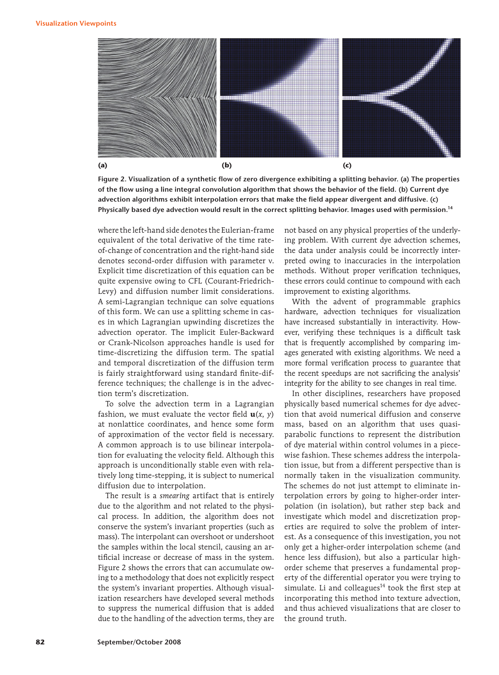

Figure 2. Visualization of a synthetic flow of zero divergence exhibiting a splitting behavior. (a) The properties of the flow using a line integral convolution algorithm that shows the behavior of the field. (b) Current dye **advection algorithms exhibit interpolation errors that make the field appear divergent and diffusive. (c) Physically based dye advection would result in the correct splitting behavior. Images used with permission.14**

where the left-hand side denotes the Eulerian-frame equivalent of the total derivative of the time rateof-change of concentration and the right-hand side denotes second-order diffusion with parameter ν. Explicit time discretization of this equation can be quite expensive owing to CFL (Courant-Friedrich-Levy) and diffusion number limit considerations. A semi-Lagrangian technique can solve equations of this form. We can use a splitting scheme in cases in which Lagrangian upwinding discretizes the advection operator. The implicit Euler-Backward or Crank-Nicolson approaches handle is used for time-discretizing the diffusion term. The spatial and temporal discretization of the diffusion term is fairly straightforward using standard finite-difference techniques; the challenge is in the advection term's discretization.

To solve the advection term in a Lagrangian fashion, we must evaluate the vector field  $\mathbf{u}(x, y)$ at nonlattice coordinates, and hence some form of approximation of the vector field is necessary. A common approach is to use bilinear interpolation for evaluating the velocity field. Although this approach is unconditionally stable even with relatively long time-stepping, it is subject to numerical diffusion due to interpolation.

The result is a *smearing* artifact that is entirely due to the algorithm and not related to the physical process. In addition, the algorithm does not conserve the system's invariant properties (such as mass). The interpolant can overshoot or undershoot the samples within the local stencil, causing an artificial increase or decrease of mass in the system. Figure 2 shows the errors that can accumulate owing to a methodology that does not explicitly respect the system's invariant properties. Although visualization researchers have developed several methods to suppress the numerical diffusion that is added due to the handling of the advection terms, they are

not based on any physical properties of the underlying problem. With current dye advection schemes, the data under analysis could be incorrectly interpreted owing to inaccuracies in the interpolation methods. Without proper verification techniques, these errors could continue to compound with each improvement to existing algorithms.

With the advent of programmable graphics hardware, advection techniques for visualization have increased substantially in interactivity. However, verifying these techniques is a difficult task that is frequently accomplished by comparing images generated with existing algorithms. We need a more formal verification process to guarantee that the recent speedups are not sacrificing the analysis' integrity for the ability to see changes in real time.

In other disciplines, researchers have proposed physically based numerical schemes for dye advection that avoid numerical diffusion and conserve mass, based on an algorithm that uses quasiparabolic functions to represent the distribution of dye material within control volumes in a piecewise fashion. These schemes address the interpolation issue, but from a different perspective than is normally taken in the visualization community. The schemes do not just attempt to eliminate interpolation errors by going to higher-order interpolation (in isolation), but rather step back and investigate which model and discretization properties are required to solve the problem of interest. As a consequence of this investigation, you not only get a higher-order interpolation scheme (and hence less diffusion), but also a particular highorder scheme that preserves a fundamental property of the differential operator you were trying to simulate. Li and colleagues $14$  took the first step at incorporating this method into texture advection, and thus achieved visualizations that are closer to the ground truth.